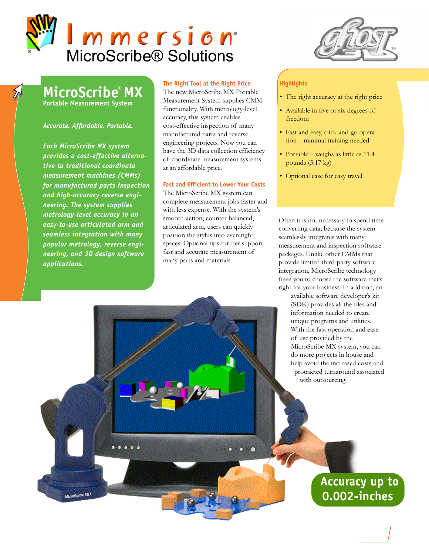

**MicroScribe***®* **MX**

**Portable Measurement System**

## *Accurate. Affordable. Portable.*

*Each MicroScribe MX system provides a cost-effective alternative to traditional coordinate measurement machines (CMMs) for manufactured parts inspection and high-accuracy reverse engineering. The system supplies metrology-level accuracy in an easy-to-use articulated arm and seamless integration with many popular metrology, reverse engineering, and 3D design software applications.* 

MicroScribe MLX

# **The Right Tool at the Right Price**

The new MicroScribe MX Portable Measurement System supplies CMM functionality. With metrology-level accuracy, this system enables cost-effective inspection of many manufactured parts and reverse engineering projects. Now you can have the 3D data collection efficiency of coordinate measurement systems at an affordable price.

# **Fast and Efficient to Lower Your Costs**

The MicroScribe MX system can complete measurement jobs faster and with less expense. With the system's smooth-action, counter-balanced, articulated arm, users can quickly position the stylus into even tight spaces. Optional tips further support fast and accurate measurement of many parts and materials.



# **Highlights**

- The right accuracy at the right price
- Available in five or six degrees of freedom
- Fast and easy, click-and-go operation – minimal training needed
- Portable weighs as little as 11.4 pounds (5.17 kg)
- Optional case for easy travel

Often it is not necessary to spend time converting data, because the system seamlessly integrates with many measurement and inspection software packages. Unlike other CMMs that provide limited third-party software integration, MicroScribe technology frees you to choose the software that's right for your business. In addition, an

> available software developer's kit (SDK) provides all the files and information needed to create unique programs and utilities. With the fast operation and ease of use provided by the MicroScribe MX system, you can do more projects in house and help avoid the increased costs and protracted turnaround associated with outsourcing.

# **Accuracy up to 0.002-inches**